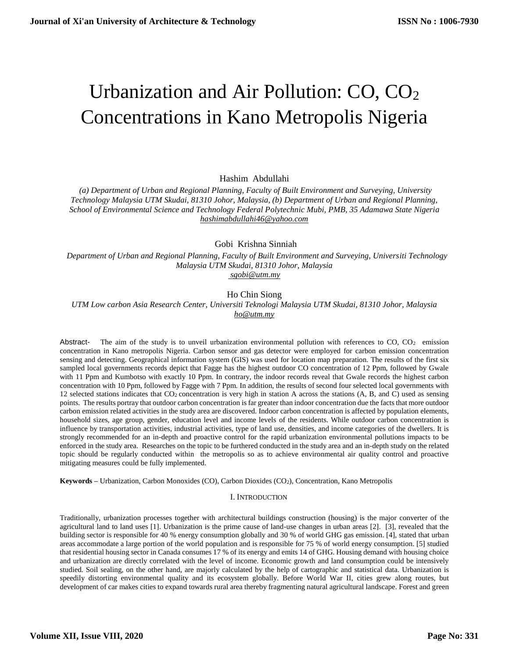# Urbanization and Air Pollution: CO, CO<sub>2</sub> Concentrations in Kano Metropolis Nigeria

Hashim Abdullahi

 *(a) Department of Urban and Regional Planning, Faculty of Built Environment and Surveying, University Technology Malaysia UTM Skudai, 81310 Johor, Malaysia, (b) Department of Urban and Regional Planning, School of Environmental Science and Technology Federal Polytechnic Mubi, PMB, 35 Adamawa State Nigeria [hashimabdullahi46@yahoo.com](mailto:hashimabdullahi46@yahoo.com)* 

Gobi Krishna Sinniah

 *Department of Urban and Regional Planning, Faculty of Built Environment and Surveying, Universiti Technology Malaysia UTM Skudai, 81310 Johor, Malaysia [sgobi@utm.my](mailto:sgobi@utm.my)*

# Ho Chin Siong

*UTM Low carbon Asia Research Center, Universiti Teknologi Malaysia UTM Skudai, 81310 Johor, Malaysia [ho@utm.my](mailto:ho@utm.my)* 

Abstract- The aim of the study is to unveil urbanization environmental pollution with references to CO, CO<sub>2</sub> emission concentration in Kano metropolis Nigeria. Carbon sensor and gas detector were employed for carbon emission concentration sensing and detecting. Geographical information system (GIS) was used for location map preparation. The results of the first six sampled local governments records depict that Fagge has the highest outdoor CO concentration of 12 Ppm, followed by Gwale with 11 Ppm and Kumbotso with exactly 10 Ppm. In contrary, the indoor records reveal that Gwale records the highest carbon concentration with 10 Ppm, followed by Fagge with 7 Ppm. In addition, the results of second four selected local governments with 12 selected stations indicates that CO<sup>2</sup> concentration is very high in station A across the stations (A, B, and C) used as sensing points. The results portray that outdoor carbon concentration is far greater than indoor concentration due the facts that more outdoor carbon emission related activities in the study area are discovered. Indoor carbon concentration is affected by population elements, household sizes, age group, gender, education level and income levels of the residents. While outdoor carbon concentration is influence by transportation activities, industrial activities, type of land use, densities, and income categories of the dwellers. It is strongly recommended for an in-depth and proactive control for the rapid urbanization environmental pollutions impacts to be enforced in the study area. Researches on the topic to be furthered conducted in the study area and an in-depth study on the related topic should be regularly conducted within the metropolis so as to achieve environmental air quality control and proactive mitigating measures could be fully implemented.

**Keywords –** Urbanization, Carbon Monoxides (CO), Carbon Dioxides (CO2), Concentration, Kano Metropolis

# I. INTRODUCTION

Traditionally, urbanization processes together with architectural buildings construction (housing) is the major converter of the agricultural land to land uses [1]. Urbanization is the prime cause of land-use changes in urban areas [2]. [3], revealed that the building sector is responsible for 40 % energy consumption globally and 30 % of world GHG gas emission. [4], stated that urban areas accommodate a large portion of the world population and is responsible for 75 % of world energy consumption. [5] studied that residential housing sector in Canada consumes 17 % of its energy and emits 14 of GHG. Housing demand with housing choice and urbanization are directly correlated with the level of income. Economic growth and land consumption could be intensively studied. Soil sealing, on the other hand, are majorly calculated by the help of cartographic and statistical data. Urbanization is speedily distorting environmental quality and its ecosystem globally. Before World War II, cities grew along routes, but development of car makes cities to expand towards rural area thereby fragmenting natural agricultural landscape. Forest and green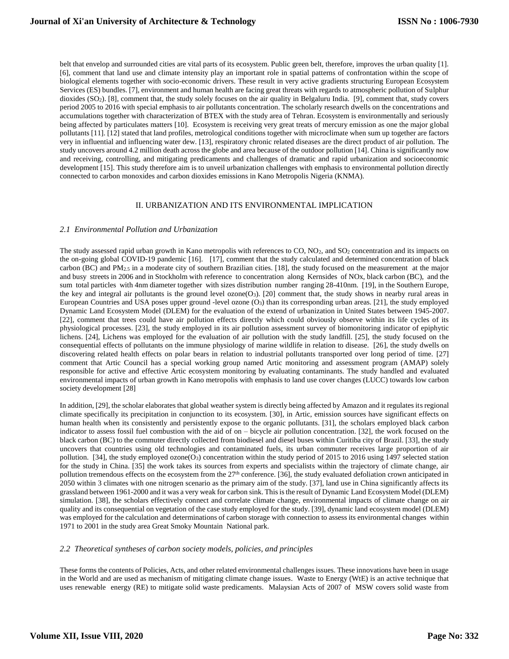belt that envelop and surrounded cities are vital parts of its ecosystem. Public green belt, therefore, improves the urban quality [1]. [6], comment that land use and climate intensity play an important role in spatial patterns of confrontation within the scope of biological elements together with socio-economic drivers. These result in very active gradients structuring European Ecosystem Services (ES) bundles. [7], environment and human health are facing great threats with regards to atmospheric pollution of Sulphur dioxides (SO<sub>2</sub>). [8], comment that, the study solely focuses on the air quality in Belgaluru India. [9], comment that, study covers period 2005 to 2016 with special emphasis to air pollutants concentration. The scholarly research dwells on the concentrations and accumulations together with characterization of BTEX with the study area of Tehran. Ecosystem is environmentally and seriously being affected by particulates matters [10]. Ecosystem is receiving very great treats of mercury emission as one the major global pollutants [11]. [12] stated that land profiles, metrological conditions together with microclimate when sum up together are factors very in influential and influencing water dew. [13], respiratory chronic related diseases are the direct product of air pollution. The study uncovers around 4.2 million death across the globe and area because of the outdoor pollution [14]. China is significantly now and receiving, controlling, and mitigating predicaments and challenges of dramatic and rapid urbanization and socioeconomic development [15]. This study therefore aim is to unveil urbanization challenges with emphasis to environmental pollution directly connected to carbon monoxides and carbon dioxides emissions in Kano Metropolis Nigeria (KNMA).

## II. URBANIZATION AND ITS ENVIRONMENTAL IMPLICATION

#### *2.1 Environmental Pollution and Urbanization*

The study assessed rapid urban growth in Kano metropolis with references to  $CO$ ,  $NO<sub>2</sub>$ , and  $SO<sub>2</sub>$  concentration and its impacts on the on-going global COVID-19 pandemic [16]. [17], comment that the study calculated and determined concentration of black carbon (BC) and  $PM_{2.5}$  in a moderate city of southern Brazilian cities. [18], the study focused on the measurement at the major and busy streets in 2006 and in Stockholm with reference to concentration along Kernsides of NOx, black carbon (BC), and the sum total particles with 4nm diameter together with sizes distribution number ranging 28-410nm. [19], in the Southern Europe, the key and integral air pollutants is the ground level ozone $(O_3)$ . [20] comment that, the study shows in nearby rural areas in European Countries and USA poses upper ground -level ozone (O3) than its corresponding urban areas. [21], the study employed Dynamic Land Ecosystem Model (DLEM) for the evaluation of the extend of urbanization in United States between 1945-2007. [22], comment that trees could have air pollution effects directly which could obviously observe within its life cycles of its physiological processes. [23], the study employed in its air pollution assessment survey of biomonitoring indicator of epiphytic lichens. [24], Lichens was employed for the evaluation of air pollution with the study landfill. [25], the study focused on the consequential effects of pollutants on the immune physiology of marine wildlife in relation to disease. [26], the study dwells on discovering related health effects on polar bears in relation to industrial pollutants transported over long period of time. [27] comment that Artic Council has a special working group named Artic monitoring and assessment program (AMAP) solely responsible for active and effective Artic ecosystem monitoring by evaluating contaminants. The study handled and evaluated environmental impacts of urban growth in Kano metropolis with emphasis to land use cover changes (LUCC) towards low carbon society development [28]

In addition, [29], the scholar elaborates that global weather system is directly being affected by Amazon and it regulates its regional climate specifically its precipitation in conjunction to its ecosystem. [30], in Artic, emission sources have significant effects on human health when its consistently and persistently expose to the organic pollutants. [31], the scholars employed black carbon indicator to assess fossil fuel combustion with the aid of on – bicycle air pollution concentration. [32], the work focused on the black carbon (BC) to the commuter directly collected from biodiesel and diesel buses within Curitiba city of Brazil. [33], the study uncovers that countries using old technologies and contaminated fuels, its urban commuter receives large proportion of air pollution. [34], the study employed ozone(O<sub>3</sub>) concentration within the study period of 2015 to 2016 using 1497 selected station for the study in China. [35] the work takes its sources from experts and specialists within the trajectory of climate change, air pollution tremendous effects on the ecosystem from the  $27<sup>th</sup>$  conference. [36], the study evaluated defoliation crown anticipated in 2050 within 3 climates with one nitrogen scenario as the primary aim of the study. [37], land use in China significantly affects its grassland between 1961-2000 and it was a very weak for carbon sink. This is the result of Dynamic Land Ecosystem Model (DLEM) simulation. [38], the scholars effectively connect and correlate climate change, environmental impacts of climate change on air quality and its consequential on vegetation of the case study employed for the study. [39], dynamic land ecosystem model (DLEM) was employed for the calculation and determinations of carbon storage with connection to assess its environmental changes within 1971 to 2001 in the study area Great Smoky Mountain National park.

#### *2.2 Theoretical syntheses of carbon society models, policies, and principles*

These forms the contents of Policies, Acts, and other related environmental challenges issues. These innovations have been in usage in the World and are used as mechanism of mitigating climate change issues. Waste to Energy (WtE) is an active technique that uses renewable energy (RE) to mitigate solid waste predicaments. Malaysian Acts of 2007 of MSW covers solid waste from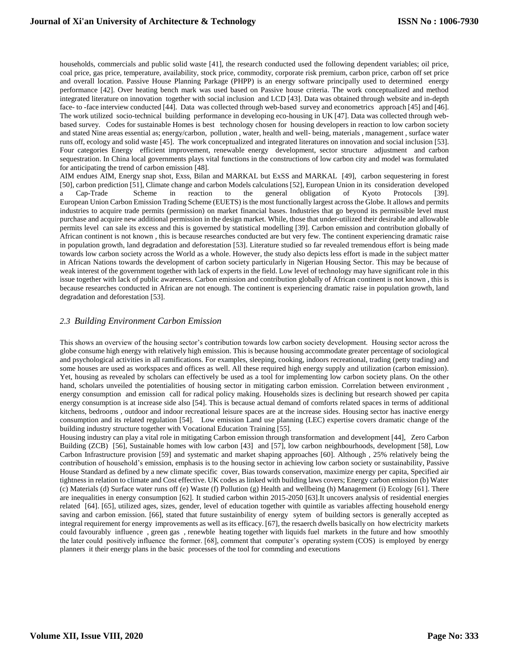households, commercials and public solid waste [41], the research conducted used the following dependent variables; oil price, coal price, gas price, temperature, availability, stock price, commodity, corporate risk premium, carbon price, carbon off set price and overall location. Passive House Planning Parkage (PHPP) is an energy software principally used to determined energy performance [42]. Over heating bench mark was used based on Passive house criteria. The work conceptualized and method integrated literature on innovation together with social inclusion and LCD [43]. Data was obtained through website and in-depth face- to -face interview conducted [44]. Data was collected through web-based survey and econometrics approach [45] and [46]. The work utilized socio-technical building performance in developing eco-housing in UK [47]. Data was collected through webbased survey. Codes for sustainable Homes is best technology chosen for housing developers in reaction to low carbon society and stated Nine areas essential as; energy/carbon, pollution , water, health and well- being, materials , management , surface water runs off, ecology and solid waste [45]. The work conceptualized and integrated literatures on innovation and social inclusion [53]. Four categories Energy efficient improvement, renewable energy development, sector structure adjustment and carbon sequestration. In China local governments plays vital functions in the constructions of low carbon city and model was formulated for anticipating the trend of carbon emission [48].

AIM endues AIM, Energy snap shot, Exss, Bilan and MARKAL but ExSS and MARKAL [49], carbon sequestering in forest [50], carbon prediction [51], Climate change and carbon Models calculations [52], European Union in its consideration developed a Cap-Trade Scheme in reaction to the general obligation of Kyoto Protocols [39]. European Union Carbon Emission Trading Scheme (EUETS) is the most functionally largest across the Globe. It allows and permits industries to acquire trade permits (permission) on market financial bases. Industries that go beyond its permissible level must purchase and acquire new additional permission in the design market. While, those that under-utilized their desirable and allowable permits level can sale its excess and this is governed by statistical modelling [39]. Carbon emission and contribution globally of African continent is not known , this is because researches conducted are but very few. The continent experiencing dramatic raise in population growth, land degradation and deforestation [53]. Literature studied so far revealed tremendous effort is being made towards low carbon society across the World as a whole. However, the study also depicts less effort is made in the subject matter in African Nations towards the development of carbon society particularly in Nigerian Housing Sector. This may be because of weak interest of the government together with lack of experts in the field. Low level of technology may have significant role in this issue together with lack of public awareness. Carbon emission and contribution globally of African continent is not known , this is because researches conducted in African are not enough. The continent is experiencing dramatic raise in population growth, land degradation and deforestation [53].

## *2.3 Building Environment Carbon Emission*

This shows an overview of the housing sector's contribution towards low carbon society development. Housing sector across the globe consume high energy with relatively high emission. This is because housing accommodate greater percentage of sociological and psychological activities in all ramifications. For examples, sleeping, cooking, indoors recreational, trading (petty trading) and some houses are used as workspaces and offices as well. All these required high energy supply and utilization (carbon emission). Yet, housing as revealed by scholars can effectively be used as a tool for implementing low carbon society plans. On the other hand, scholars unveiled the potentialities of housing sector in mitigating carbon emission. Correlation between environment , energy consumption and emission call for radical policy making. Households sizes is declining but research showed per capita energy consumption is at increase side also [54]. This is because actual demand of comforts related spaces in terms of additional kitchens, bedrooms , outdoor and indoor recreational leisure spaces are at the increase sides. Housing sector has inactive energy consumption and its related regulation [54]. Low emission Land use planning (LEC) expertise covers dramatic change of the building industry structure together with Vocational Education Training [55].

Housing industry can play a vital role in mitigating Carbon emission through transformation and development [44], Zero Carbon Building (ZCB) [56], Sustainable homes with low carbon [43] and [57], low carbon neighbourhoods, development [58], Low Carbon Infrastructure provision [59] and systematic and market shaping approaches [60]. Although , 25% relatively being the contribution of household's emission, emphasis is to the housing sector in achieving low carbon society or sustainability, Passive House Standard as defined by a new climate specific cover, Bias towards conservation, maximize energy per capita, Specified air tightness in relation to climate and Cost effective. UK codes as linked with building laws covers; Energy carbon emission (b) Water (c) Materials (d) Surface water runs off (e) Waste (f) Pollution (g) Health and wellbeing (h) Management (i) Ecology [61]. There are inequalities in energy consumption [62]. It studied carbon within 2015-2050 [63].It uncovers analysis of residential energies related [64]. [65], utilized ages, sizes, gender, level of education together with quintile as variables affecting household energy saving and carbon emission. [66], stated that future sustainbility of energy sytem of building sectors is generally accepted as integral requirement for energy improvements as well as its efficacy. [67], the resaerch dwells basically on how electricity markets could favourably influence , green gas , renewble heating together with liquids fuel markets in the future and how smoothly the later could positively influence the former. [68], comment that computer's operating system (COS) is employed by energy planners it their energy plans in the basic processes of the tool for commding and executions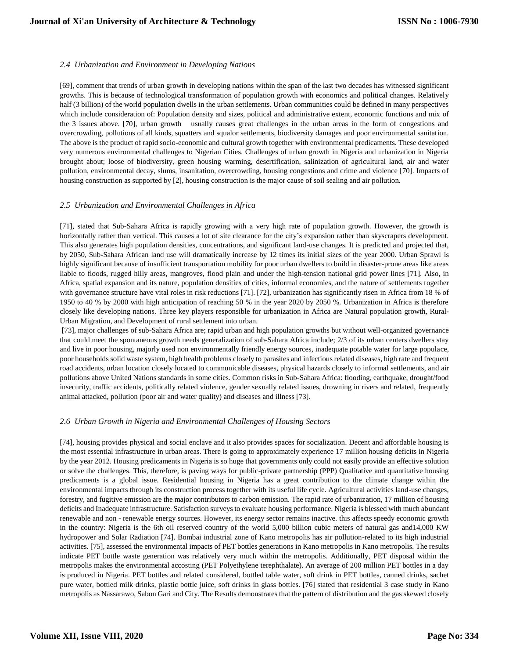## *2.4 Urbanization and Environment in Developing Nations*

[69], comment that trends of urban growth in developing nations within the span of the last two decades has witnessed significant growths. This is because of technological transformation of population growth with economics and political changes. Relatively half (3 billion) of the world population dwells in the urban settlements. Urban communities could be defined in many perspectives which include consideration of: Population density and sizes, political and administrative extent, economic functions and mix of the 3 issues above. [70], urban growth usually causes great challenges in the urban areas in the form of congestions and overcrowding, pollutions of all kinds, squatters and squalor settlements, biodiversity damages and poor environmental sanitation. The above is the product of rapid socio-economic and cultural growth together with environmental predicaments. These developed very numerous environmental challenges to Nigerian Cities. Challenges of urban growth in Nigeria and urbanization in Nigeria brought about; loose of biodiversity, green housing warming, desertification, salinization of agricultural land, air and water pollution, environmental decay, slums, insanitation, overcrowding, housing congestions and crime and violence [70]. Impacts of housing construction as supported by [2], housing construction is the major cause of soil sealing and air pollution.

#### *2.5 Urbanization and Environmental Challenges in Africa*

[71], stated that Sub-Sahara Africa is rapidly growing with a very high rate of population growth. However, the growth is horizontally rather than vertical. This causes a lot of site clearance for the city's expansion rather than skyscrapers development. This also generates high population densities, concentrations, and significant land-use changes. It is predicted and projected that, by 2050, Sub-Sahara African land use will dramatically increase by 12 times its initial sizes of the year 2000. Urban Sprawl is highly significant because of insufficient transportation mobility for poor urban dwellers to build in disaster-prone areas like areas liable to floods, rugged hilly areas, mangroves, flood plain and under the high-tension national grid power lines [71]. Also, in Africa, spatial expansion and its nature, population densities of cities, informal economies, and the nature of settlements together with governance structure have vital roles in risk reductions [71]. [72], urbanization has significantly risen in Africa from 18 % of 1950 to 40 % by 2000 with high anticipation of reaching 50 % in the year 2020 by 2050 %. Urbanization in Africa is therefore closely like developing nations. Three key players responsible for urbanization in Africa are Natural population growth, Rural-Urban Migration, and Development of rural settlement into urban.

[73], major challenges of sub-Sahara Africa are; rapid urban and high population growths but without well-organized governance that could meet the spontaneous growth needs generalization of sub-Sahara Africa include; 2/3 of its urban centers dwellers stay and live in poor housing, majorly used non environmentally friendly energy sources, inadequate potable water for large populace, poor households solid waste system, high health problems closely to parasites and infectious related diseases, high rate and frequent road accidents, urban location closely located to communicable diseases, physical hazards closely to informal settlements, and air pollutions above United Nations standards in some cities. Common risks in Sub-Sahara Africa: flooding, earthquake, drought/food insecurity, traffic accidents, politically related violence, gender sexually related issues, drowning in rivers and related, frequently animal attacked, pollution (poor air and water quality) and diseases and illness [73].

## *2.6 Urban Growth in Nigeria and Environmental Challenges of Housing Sectors*

[74], housing provides physical and social enclave and it also provides spaces for socialization. Decent and affordable housing is the most essential infrastructure in urban areas. There is going to approximately experience 17 million housing deficits in Nigeria by the year 2012. Housing predicaments in Nigeria is so huge that governments only could not easily provide an effective solution or solve the challenges. This, therefore, is paving ways for public-private partnership (PPP) Qualitative and quantitative housing predicaments is a global issue. Residential housing in Nigeria has a great contribution to the climate change within the environmental impacts through its construction process together with its useful life cycle. Agricultural activities land-use changes, forestry, and fugitive emission are the major contributors to carbon emission. The rapid rate of urbanization, 17 million of housing deficits and Inadequate infrastructure. Satisfaction surveys to evaluate housing performance. Nigeria is blessed with much abundant renewable and non - renewable energy sources. However, its energy sector remains inactive. this affects speedy economic growth in the country: Nigeria is the 6th oil reserved country of the world 5,000 billion cubic meters of natural gas and14,000 KW hydropower and Solar Radiation [74]. Bombai industrial zone of Kano metropolis has air pollution-related to its high industrial activities. [75], assessed the environmental impacts of PET bottles generations in Kano metropolis in Kano metropolis. The results indicate PET bottle waste generation was relatively very much within the metropolis. Additionally, PET disposal within the metropolis makes the environmental accosting (PET Polyethylene terephthalate). An average of 200 million PET bottles in a day is produced in Nigeria. PET bottles and related considered, bottled table water, soft drink in PET bottles, canned drinks, sachet pure water, bottled milk drinks, plastic bottle juice, soft drinks in glass bottles. [76] stated that residential 3 case study in Kano metropolis as Nassarawo, Sabon Gari and City. The Results demonstrates that the pattern of distribution and the gas skewed closely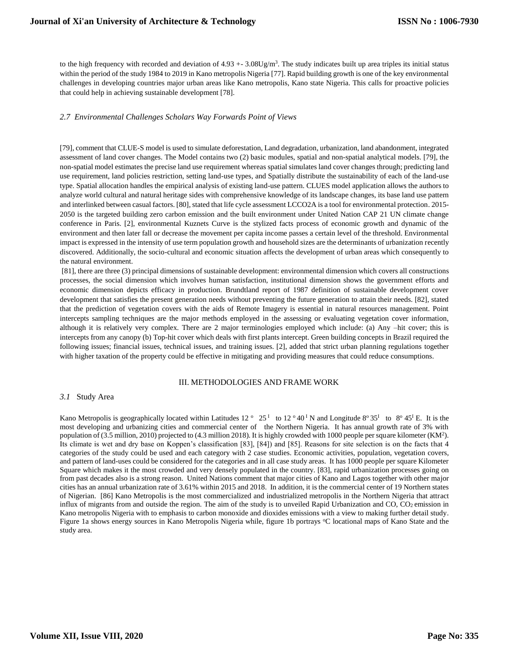to the high frequency with recorded and deviation of  $4.93 + -3.08$ Ug/m<sup>3</sup>. The study indicates built up area triples its initial status within the period of the study 1984 to 2019 in Kano metropolis Nigeria [77]. Rapid building growth is one of the key environmental challenges in developing countries major urban areas like Kano metropolis, Kano state Nigeria. This calls for proactive policies that could help in achieving sustainable development [78].

## *2.7 Environmental Challenges Scholars Way Forwards Point of Views*

[79], comment that CLUE-S model is used to simulate deforestation, Land degradation, urbanization, land abandonment, integrated assessment of land cover changes. The Model contains two (2) basic modules, spatial and non-spatial analytical models. [79], the non-spatial model estimates the precise land use requirement whereas spatial simulates land cover changes through; predicting land use requirement, land policies restriction, setting land-use types, and Spatially distribute the sustainability of each of the land-use type. Spatial allocation handles the empirical analysis of existing land-use pattern. CLUES model application allows the authors to analyze world cultural and natural heritage sides with comprehensive knowledge of its landscape changes, its base land use pattern and interlinked between casual factors. [80], stated that life cycle assessment LCCO2A is a tool for environmental protection. 2015- 2050 is the targeted building zero carbon emission and the built environment under United Nation CAP 21 UN climate change conference in Paris. [2], environmental Kuznets Curve is the stylized facts process of economic growth and dynamic of the environment and then later fall or decrease the movement per capita income passes a certain level of the threshold. Environmental impact is expressed in the intensity of use term population growth and household sizes are the determinants of urbanization recently discovered. Additionally, the socio-cultural and economic situation affects the development of urban areas which consequently to the natural environment.

[81], there are three (3) principal dimensions of sustainable development: environmental dimension which covers all constructions processes, the social dimension which involves human satisfaction, institutional dimension shows the government efforts and economic dimension depicts efficacy in production. Brundtland report of 1987 definition of sustainable development cover development that satisfies the present generation needs without preventing the future generation to attain their needs. [82], stated that the prediction of vegetation covers with the aids of Remote Imagery is essential in natural resources management. Point intercepts sampling techniques are the major methods employed in the assessing or evaluating vegetation cover information, although it is relatively very complex. There are 2 major terminologies employed which include: (a) Any –hit cover; this is intercepts from any canopy (b) Top-hit cover which deals with first plants intercept. Green building concepts in Brazil required the following issues; financial issues, technical issues, and training issues. [2], added that strict urban planning regulations together with higher taxation of the property could be effective in mitigating and providing measures that could reduce consumptions.

## III. METHODOLOGIES AND FRAME WORK

#### *3.1* Study Area

Kano Metropolis is geographically located within Latitudes  $12^{\circ} 25^{\circ}$  to  $12^{\circ} 40^{\circ}$  N and Longitude 8° 35<sup>T</sup> to 8° 45<sup>T</sup> E. It is the most developing and urbanizing cities and commercial center of the Northern Nigeria. It has annual growth rate of 3% with population of (3.5 million, 2010) projected to (4.3 million 2018). It is highly crowded with 1000 people per square kilometer (KM<sup>2</sup>). Its climate is wet and dry base on Koppen's classification [83], [84]) and [85]. Reasons for site selection is on the facts that 4 categories of the study could be used and each category with 2 case studies. Economic activities, population, vegetation covers, and pattern of land-uses could be considered for the categories and in all case study areas. It has 1000 people per square Kilometer Square which makes it the most crowded and very densely populated in the country. [83], rapid urbanization processes going on from past decades also is a strong reason. United Nations comment that major cities of Kano and Lagos together with other major cities has an annual urbanization rate of 3.61% within 2015 and 2018. In addition, it is the commercial center of 19 Northern states of Nigerian. [86] Kano Metropolis is the most commercialized and industrialized metropolis in the Northern Nigeria that attract influx of migrants from and outside the region. The aim of the study is to unveiled Rapid Urbanization and  $CO$ ,  $CO<sub>2</sub>$  emission in Kano metropolis Nigeria with to emphasis to carbon monoxide and dioxides emissions with a view to making further detail study. Figure 1a shows energy sources in Kano Metropolis Nigeria while, figure 1b portrays °C locational maps of Kano State and the study area.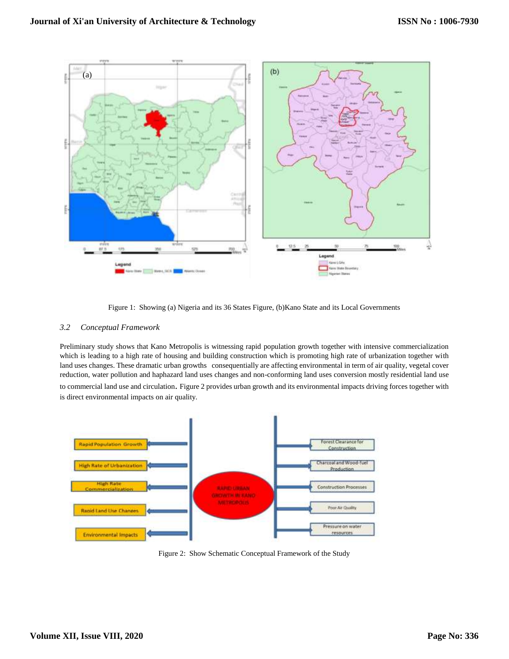

Figure 1: Showing (a) Nigeria and its 36 States Figure, (b)Kano State and its Local Governments

# *3.2 Conceptual Framework*

Preliminary study shows that Kano Metropolis is witnessing rapid population growth together with intensive commercialization which is leading to a high rate of housing and building construction which is promoting high rate of urbanization together with land uses changes. These dramatic urban growths consequentially are affecting environmental in term of air quality, vegetal cover reduction, water pollution and haphazard land uses changes and non-conforming land uses conversion mostly residential land use to commercial land use and circulation. Figure 2 provides urban growth and its environmental impacts driving forces together with is direct environmental impacts on air quality.



Figure 2: Show Schematic Conceptual Framework of the Study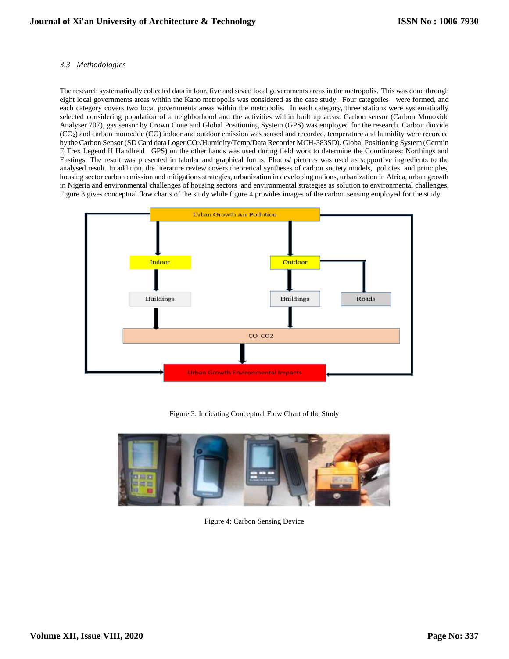## *3.3 Methodologies*

The research systematically collected data in four, five and seven local governments areas in the metropolis. This was done through eight local governments areas within the Kano metropolis was considered as the case study. Four categories were formed, and each category covers two local governments areas within the metropolis. In each category, three stations were systematically selected considering population of a neighborhood and the activities within built up areas. Carbon sensor (Carbon Monoxide Analyser 707), gas sensor by Crown Cone and Global Positioning System (GPS) was employed for the research. Carbon dioxide (CO2) and carbon monoxide (CO) indoor and outdoor emission was sensed and recorded, temperature and humidity were recorded by the Carbon Sensor (SD Card data Loger CO2/Humidity/Temp/Data Recorder MCH-383SD). Global Positioning System (Germin E Trex Legend H Handheld GPS) on the other hands was used during field work to determine the Coordinates: Northings and Eastings. The result was presented in tabular and graphical forms. Photos/ pictures was used as supportive ingredients to the analysed result. In addition, the literature review covers theoretical syntheses of carbon society models, policies and principles, housing sector carbon emission and mitigations strategies, urbanization in developing nations, urbanization in Africa, urban growth in Nigeria and environmental challenges of housing sectors and environmental strategies as solution to environmental challenges. Figure 3 gives conceptual flow charts of the study while figure 4 provides images of the carbon sensing employed for the study.



Figure 3: Indicating Conceptual Flow Chart of the Study



Figure 4: Carbon Sensing Device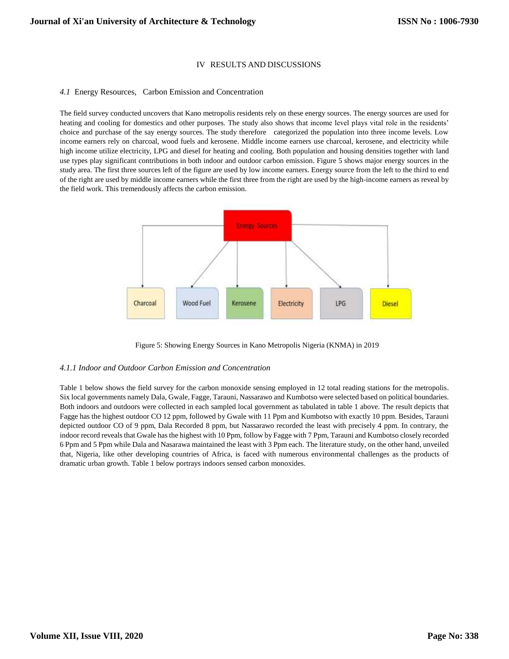## IV RESULTS AND DISCUSSIONS

#### *4.1* Energy Resources, Carbon Emission and Concentration

The field survey conducted uncovers that Kano metropolis residents rely on these energy sources. The energy sources are used for heating and cooling for domestics and other purposes. The study also shows that income level plays vital role in the residents' choice and purchase of the say energy sources. The study therefore categorized the population into three income levels. Low income earners rely on charcoal, wood fuels and kerosene. Middle income earners use charcoal, kerosene, and electricity while high income utilize electricity, LPG and diesel for heating and cooling. Both population and housing densities together with land use types play significant contributions in both indoor and outdoor carbon emission. Figure 5 shows major energy sources in the study area. The first three sources left of the figure are used by low income earners. Energy source from the left to the third to end of the right are used by middle income earners while the first three from the right are used by the high-income earners as reveal by the field work. This tremendously affects the carbon emission.



Figure 5: Showing Energy Sources in Kano Metropolis Nigeria (KNMA) in 2019

#### *4.1.1 Indoor and Outdoor Carbon Emission and Concentration*

Table 1 below shows the field survey for the carbon monoxide sensing employed in 12 total reading stations for the metropolis. Six local governments namely Dala, Gwale, Fagge, Tarauni, Nassarawo and Kumbotso were selected based on political boundaries. Both indoors and outdoors were collected in each sampled local government as tabulated in table 1 above. The result depicts that Fagge has the highest outdoor CO 12 ppm, followed by Gwale with 11 Ppm and Kumbotso with exactly 10 ppm. Besides, Tarauni depicted outdoor CO of 9 ppm, Dala Recorded 8 ppm, but Nassarawo recorded the least with precisely 4 ppm. In contrary, the indoor record reveals that Gwale has the highest with 10 Ppm, follow by Fagge with 7 Ppm, Tarauni and Kumbotso closely recorded 6 Ppm and 5 Ppm while Dala and Nasarawa maintained the least with 3 Ppm each. The literature study, on the other hand, unveiled that, Nigeria, like other developing countries of Africa, is faced with numerous environmental challenges as the products of dramatic urban growth. Table 1 below portrays indoors sensed carbon monoxides.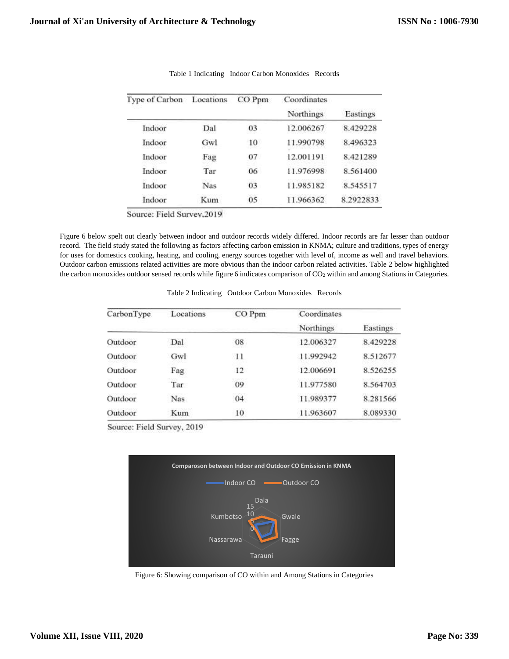| Type of Carbon | Locations  | CO Ppm | Coordinates      | Eastings  |  |
|----------------|------------|--------|------------------|-----------|--|
|                |            |        | <b>Northings</b> |           |  |
| Indoor         | Dal        | 03     | 12.006267        | 8.429228  |  |
| Indoor         | Gwl        | 10     | 11.990798        | 8.496323  |  |
| Indoor         | Fag        | 07     | 12.001191        | 8.421289  |  |
| Indoor         | Tar        | 06     | 11.976998        | 8.561400  |  |
| Indoor         | <b>Nas</b> | 03     | 11.985182        | 8.545517  |  |
| Indoor         | Kum        | 05     | 11.966362        | 8.2922833 |  |

Table 1 Indicating Indoor Carbon Monoxides Records

Source: Field Survey, 2019

Figure 6 below spelt out clearly between indoor and outdoor records widely differed. Indoor records are far lesser than outdoor record. The field study stated the following as factors affecting carbon emission in KNMA; culture and traditions, types of energy for uses for domestics cooking, heating, and cooling, energy sources together with level of, income as well and travel behaviors. Outdoor carbon emissions related activities are more obvious than the indoor carbon related activities. Table 2 below highlighted the carbon monoxides outdoor sensed records while figure 6 indicates comparison of CO2 within and among Stations in Categories.

| Table 2 Indicating Outdoor Carbon Monoxides Records |  |
|-----------------------------------------------------|--|
|                                                     |  |

| CarbonType | Locations  | CO Ppm  | Coordinates |          |  |
|------------|------------|---------|-------------|----------|--|
|            |            |         | Northings   | Eastings |  |
| Outdoor    | Dal        | 08      | 12.006327   | 8.429228 |  |
| Outdoor    | Gwl        | $\pm 1$ | 11.992942   | 8.512677 |  |
| Outdoor    | Fag        | 12      | 12.006691   | 8.526255 |  |
| Outdoor    | Tar        | 09      | 11.977580   | 8.564703 |  |
| Outdoor    | <b>Nas</b> | 04      | 11.989377   | 8.281566 |  |
| Outdoor    | Kum        | 10      | 11.963607   | 8.089330 |  |

Source: Field Survey, 2019



Figure 6: Showing comparison of CO within and Among Stations in Categories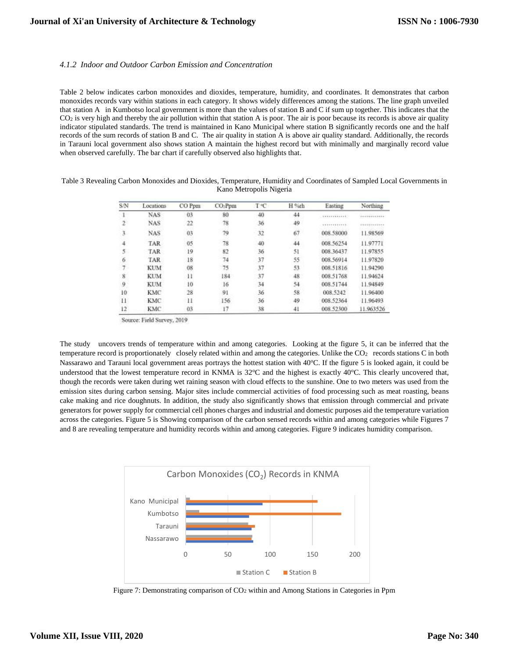#### *4.1.2 Indoor and Outdoor Carbon Emission and Concentration*

Table 2 below indicates carbon monoxides and dioxides, temperature, humidity, and coordinates. It demonstrates that carbon monoxides records vary within stations in each category. It shows widely differences among the stations. The line graph unveiled that station A in Kumbotso local government is more than the values of station B and C if sum up together. This indicates that the  $CO<sub>2</sub>$  is very high and thereby the air pollution within that station A is poor. The air is poor because its records is above air quality indicator stipulated standards. The trend is maintained in Kano Municipal where station B significantly records one and the half records of the sum records of station B and C. The air quality in station A is above air quality standard. Additionally, the records in Tarauni local government also shows station A maintain the highest record but with minimally and marginally record value when observed carefully. The bar chart if carefully observed also highlights that.

Table 3 Revealing Carbon Monoxides and Dioxides, Temperature, Humidity and Coordinates of Sampled Local Governments in Kano Metropolis Nigeria

| S/N | Locations  | CO Ppm | CO <sub>2</sub> Ppm | ToC | H %th | Easting           | Northing     |
|-----|------------|--------|---------------------|-----|-------|-------------------|--------------|
|     | NAS.       | 03     | 80                  | 40  | 44    |                   | ************ |
|     | <b>NAS</b> | 22     | 78                  | 36  | 49    | <b>STERNTHERS</b> | 0000Yr000770 |
| 3   | <b>NAS</b> | 03     | 79                  | 32  | 67    | 008.58000         | 11.98569     |
|     | TAR        | 05     | 78                  | 40  | 44    | 008.56254         | 11.97771     |
| 5.  | TAR        | 19     | 82                  | 36  | 51    | 008.36437         | 11.97855     |
| 6   | TAR        | 18     | 74                  | 37  | 55    | 008.56914         | 11.97820     |
| T.  | <b>KUM</b> | 08     | 75                  | 37  | 53    | 008.51816         | 11.94290     |
| 8   | <b>KUM</b> | -11    | 184                 | 37  | 48    | 008:51768         | 11.94624     |
| 9   | <b>KUM</b> | 10     | 16                  | 34  | 54    | 008.51744         | 11.94849     |
| 10  | <b>KMC</b> | 28     | 91                  | 36  | 58    | 008.5242          | 11.96400     |
| 11  | <b>KMC</b> | 11     | 156                 | 36  | 49    | 008.52364         | 11.96493     |
| 12  | KMC        | 03     |                     | 38  | 41    | 008 52300         | 11.963526    |

Source: Field Survey, 2019

The study uncovers trends of temperature within and among categories. Looking at the figure 5, it can be inferred that the temperature record is proportionately closely related within and among the categories. Unlike the  $CO<sub>2</sub>$  records stations C in both Nassarawo and Tarauni local government areas portrays the hottest station with 40°C. If the figure 5 is looked again, it could be understood that the lowest temperature record in KNMA is  $32^{\circ}\text{C}$  and the highest is exactly  $40^{\circ}\text{C}$ . This clearly uncovered that, though the records were taken during wet raining season with cloud effects to the sunshine. One to two meters was used from the emission sites during carbon sensing. Major sites include commercial activities of food processing such as meat roasting, beans cake making and rice doughnuts. In addition, the study also significantly shows that emission through commercial and private generators for power supply for commercial cell phones charges and industrial and domestic purposes aid the temperature variation across the categories. Figure 5 is Showing comparison of the carbon sensed records within and among categories while Figures 7 and 8 are revealing temperature and humidity records within and among categories. Figure 9 indicates humidity comparison.



Figure 7: Demonstrating comparison of  $CO<sub>2</sub>$  within and Among Stations in Categories in Ppm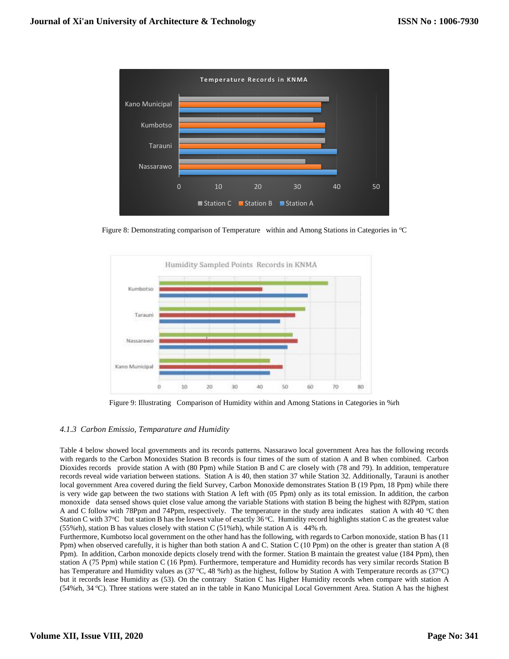

Figure 8: Demonstrating comparison of Temperature within and Among Stations in Categories in °C



Figure 9: Illustrating Comparison of Humidity within and Among Stations in Categories in %rh

# *4.1.3 Carbon Emissio, Temparature and Humidity*

Table 4 below showed local governments and its records patterns. Nassarawo local government Area has the following records with regards to the Carbon Monoxides Station B records is four times of the sum of station A and B when combined. Carbon Dioxides records provide station A with (80 Ppm) while Station B and C are closely with (78 and 79). In addition, temperature records reveal wide variation between stations. Station A is 40, then station 37 while Station 32. Additionally, Tarauni is another local government Area covered during the field Survey, Carbon Monoxide demonstrates Station B (19 Ppm, 18 Ppm) while there is very wide gap between the two stations with Station A left with (05 Ppm) only as its total emission. In addition, the carbon monoxide data sensed shows quiet close value among the variable Stations with station B being the highest with 82Ppm, station A and C follow with 78Ppm and 74Ppm, respectively. The temperature in the study area indicates station A with 40 °C then Station C with  $37^{\circ}$ C but station B has the lowest value of exactly  $36^{\circ}$ C. Humidity record highlights station C as the greatest value (55%rh), station B has values closely with station C (51%rh), while station A is 44% rh.

Furthermore, Kumbotso local government on the other hand has the following, with regards to Carbon monoxide, station B has (11 Ppm) when observed carefully, it is higher than both station A and C. Station C (10 Ppm) on the other is greater than station A (8 Ppm). In addition, Carbon monoxide depicts closely trend with the former. Station B maintain the greatest value (184 Ppm), then station A (75 Ppm) while station C (16 Ppm). Furthermore, temperature and Humidity records has very similar records Station B has Temperature and Humidity values as  $(37^{\circ}C, 48 \text{ %rh})$  as the highest, follow by Station A with Temperature records as  $(37^{\circ}C)$ but it records lease Humidity as (53). On the contrary Station C has Higher Humidity records when compare with station A (54%rh, 34 <sup>o</sup>C). Three stations were stated an in the table in Kano Municipal Local Government Area. Station A has the highest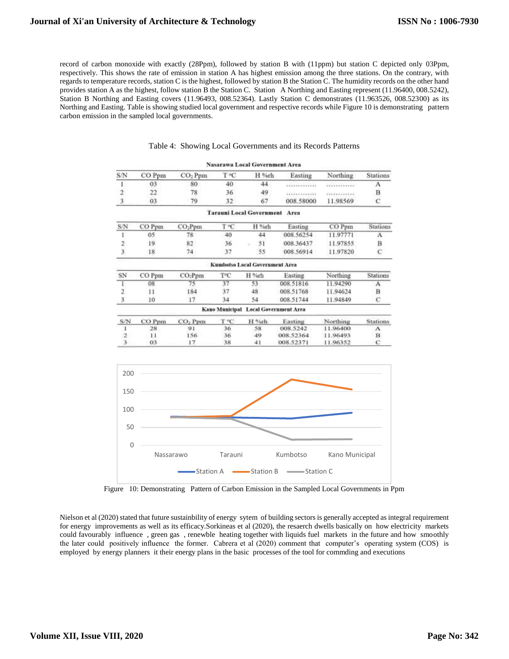record of carbon monoxide with exactly (28Ppm), followed by station B with (11ppm) but station C depicted only 03Ppm, respectively. This shows the rate of emission in station A has highest emission among the three stations. On the contrary, with regards to temperature records, station C is the highest, followed by station B the Station C. The humidity records on the other hand provides station A as the highest, follow station B the Station C. Station A Northing and Easting represent (11.96400, 008.5242), Station B Northing and Easting covers (11.96493, 008.52364). Lastly Station C demonstrates (11.963526, 008.52300) as its Northing and Easting. Table is showing studied local government and respective records while Figure 10 is demonstrating pattern carbon emission in the sampled local governments.

|                         |                 |                     |      | <b>Nasarawa Local Government Area</b> |           |          |                 |
|-------------------------|-----------------|---------------------|------|---------------------------------------|-----------|----------|-----------------|
| S/N                     | CO Ppm          | CO <sub>2</sub> Ppm | T °C | H %rh                                 | Easting   | Northing | <b>Stations</b> |
| $\mathfrak l$           | 03              | 80                  | 40   | 44                                    | .         |          | A               |
| $\overline{c}$          | 22              | 78                  | 36   | 49                                    |           | .        | B               |
| $\ddot{3}$              | 03              | 79                  | 32   | 67                                    | 008.58000 | 11.98569 | Ċ               |
|                         |                 |                     |      | Tarauni Local Government Area         |           |          |                 |
| S/N                     | CO Ppm          | CO <sub>2</sub> Ppm | T ºC | H %rh                                 | Easting   | CO Ppm   | Stations        |
| $\mathbf{1}$            | 05 <sup>°</sup> | 78                  | 40   | 44                                    | 008.56254 | 11.97771 | A               |
| 2                       | 19              | 82                  | 36   | 51                                    | 008.36437 | 11.97855 | B               |
| $\overline{\mathbf{3}}$ | 18              | 74                  | 37   | 55                                    | 008.56914 | 11.97820 | C               |
|                         |                 |                     |      | <b>Kumbotso Local Government Area</b> |           |          |                 |
| SN                      | CO Ppm          | CO <sub>2</sub> Ppm | TC   | H %th                                 | Easting   | Northing | <b>Stations</b> |
| 1                       | 08              | 75                  | 37   | 53                                    | 008.51816 | 11.94290 | A               |
| $\overline{\mathbf{2}}$ | $_{11}$         | 184                 | 37   | 48                                    | 008.51768 | 11.94624 | $_{\rm B}$      |
| $\overline{3}$          | 10              | 17                  | 34   | 54                                    | 008.51744 | 11.94849 | Ċ               |
|                         |                 |                     |      | Kano Municipal Local Government Area  |           |          |                 |
| S/N                     | CO Ppm          | CO <sub>2</sub> Ppm | T °C | H %th                                 | Easting   | Northing | Stations        |
| 1                       | 28              | 91                  | 36   | 58                                    | 008.5242  | 11.96400 | А               |
| $\overline{a}$          | 11              | 156                 | 36   | 49                                    | 008.52364 | 11.96493 | $\bf{B}$        |
| 3                       | 03              | 17                  | 38   | 41                                    | 008.52371 | 11.96352 | c               |
| 200                     |                 |                     |      |                                       |           |          |                 |
| 150                     |                 |                     |      |                                       |           |          |                 |
| 100                     |                 |                     |      |                                       |           |          |                 |
| 50                      |                 |                     |      |                                       |           |          |                 |
| $\mathbf 0$             |                 |                     |      |                                       |           |          |                 |

## Table 4: Showing Local Governments and its Records Patterns

Figure 10: Demonstrating Pattern of Carbon Emission in the Sampled Local Governments in Ppm

Nassarawo Tarauni Kumbotso Kano Municipal Station A Station B Station C

Nielson et al (2020) stated that future sustainbility of energy sytem of building sectors is generally accepted as integral requirement for energy improvements as well as its efficacy.Sorkineas et al (2020), the resaerch dwells basically on how electricity markets could favourably influence , green gas , renewble heating together with liquids fuel markets in the future and how smoothly the later could positively influence the former. Cabrera et al (2020) comment that computer's operating system (COS) is employed by energy planners it their energy plans in the basic processes of the tool for commding and executions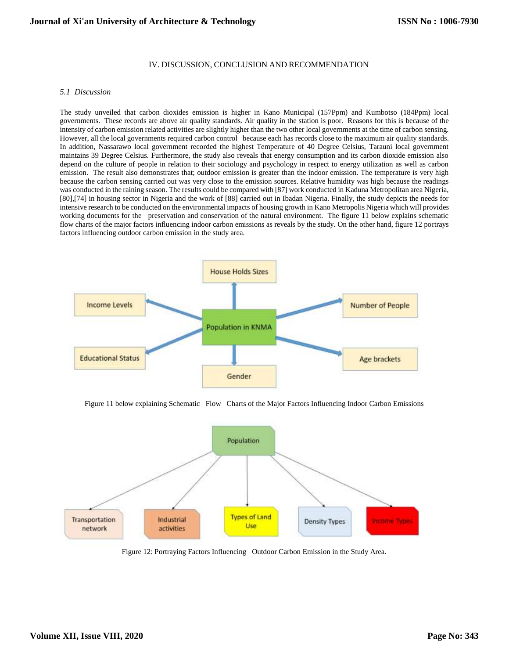## IV. DISCUSSION, CONCLUSION AND RECOMMENDATION

#### *5.1 Discussion*

The study unveiled that carbon dioxides emission is higher in Kano Municipal (157Ppm) and Kumbotso (184Ppm) local governments. These records are above air quality standards. Air quality in the station is poor. Reasons for this is because of the intensity of carbon emission related activities are slightly higher than the two other local governments at the time of carbon sensing. However, all the local governments required carbon control because each has records close to the maximum air quality standards. In addition, Nassarawo local government recorded the highest Temperature of 40 Degree Celsius, Tarauni local government maintains 39 Degree Celsius. Furthermore, the study also reveals that energy consumption and its carbon dioxide emission also depend on the culture of people in relation to their sociology and psychology in respect to energy utilization as well as carbon emission. The result also demonstrates that; outdoor emission is greater than the indoor emission. The temperature is very high because the carbon sensing carried out was very close to the emission sources. Relative humidity was high because the readings was conducted in the raining season. The results could be compared with [87] work conducted in Kaduna Metropolitan area Nigeria, [80],[74] in housing sector in Nigeria and the work of [88] carried out in Ibadan Nigeria. Finally, the study depicts the needs for intensive research to be conducted on the environmental impacts of housing growth in Kano Metropolis Nigeria which will provides working documents for the preservation and conservation of the natural environment. The figure 11 below explains schematic flow charts of the major factors influencing indoor carbon emissions as reveals by the study. On the other hand, figure 12 portrays factors influencing outdoor carbon emission in the study area.



Figure 11 below explaining Schematic Flow Charts of the Major Factors Influencing Indoor Carbon Emissions



Figure 12: Portraying Factors Influencing Outdoor Carbon Emission in the Study Area.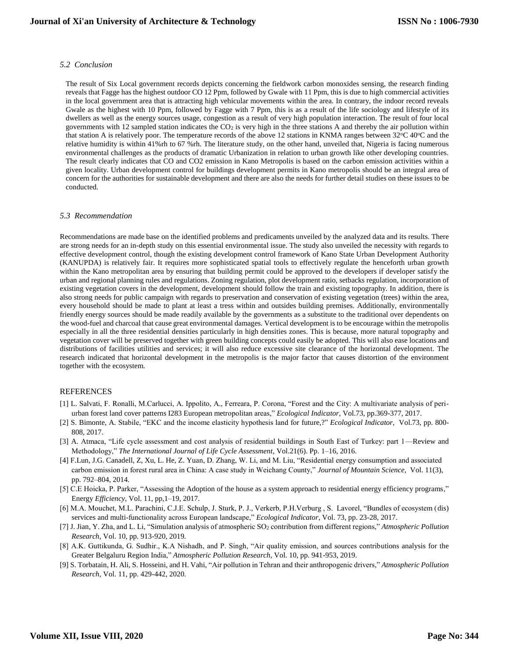#### *5.2 Conclusion*

The result of Six Local government records depicts concerning the fieldwork carbon monoxides sensing, the research finding reveals that Fagge has the highest outdoor CO 12 Ppm, followed by Gwale with 11 Ppm, this is due to high commercial activities in the local government area that is attracting high vehicular movements within the area. In contrary, the indoor record reveals Gwale as the highest with 10 Ppm, followed by Fagge with 7 Ppm, this is as a result of the life sociology and lifestyle of its dwellers as well as the energy sources usage, congestion as a result of very high population interaction. The result of four local governments with 12 sampled station indicates the  $CO<sub>2</sub>$  is very high in the three stations A and thereby the air pollution within that station A is relatively poor. The temperature records of the above 12 stations in KNMA ranges between  $32^{\circ}\text{C}$  40 $^{\circ}\text{C}$  and the relative humidity is within 41%rh to 67 %rh. The literature study, on the other hand, unveiled that, Nigeria is facing numerous environmental challenges as the products of dramatic Urbanization in relation to urban growth like other developing countries. The result clearly indicates that CO and CO2 emission in Kano Metropolis is based on the carbon emission activities within a given locality. Urban development control for buildings development permits in Kano metropolis should be an integral area of concern for the authorities for sustainable development and there are also the needs for further detail studies on these issues to be conducted.

#### *5.3 Recommendation*

Recommendations are made base on the identified problems and predicaments unveiled by the analyzed data and its results. There are strong needs for an in-depth study on this essential environmental issue. The study also unveiled the necessity with regards to effective development control, though the existing development control framework of Kano State Urban Development Authority (KANUPDA) is relatively fair. It requires more sophisticated spatial tools to effectively regulate the henceforth urban growth within the Kano metropolitan area by ensuring that building permit could be approved to the developers if developer satisfy the urban and regional planning rules and regulations. Zoning regulation, plot development ratio, setbacks regulation, incorporation of existing vegetation covers in the development, development should follow the train and existing topography. In addition, there is also strong needs for public campaign with regards to preservation and conservation of existing vegetation (trees) within the area, every household should be made to plant at least a tress within and outsides building premises. Additionally, environmentally friendly energy sources should be made readily available by the governments as a substitute to the traditional over dependents on the wood-fuel and charcoal that cause great environmental damages. Vertical development is to be encourage within the metropolis especially in all the three residential densities particularly in high densities zones. This is because, more natural topography and vegetation cover will be preserved together with green building concepts could easily be adopted. This will also ease locations and distributions of facilities utilities and services; it will also reduce excessive site clearance of the horizontal development. The research indicated that horizontal development in the metropolis is the major factor that causes distortion of the environment together with the ecosystem.

#### REFERENCES

- [1] L. Salvati, F. Ronalli, M.Carlucci, A. Ippolito, A., Ferreara, P. Corona, "Forest and the City: A multivariate analysis of periurban forest land cover patterns I283 European metropolitan areas," *Ecological Indicator*, Vol.73, pp.369-377, 2017.
- [2] S. Bimonte, A. Stabile, "EKC and the income elasticity hypothesis land for future,?" *Ecological Indicator*, Vol.73, pp. 800- 808, 2017.
- [3] A. Atmaca, "Life cycle assessment and cost analysis of residential buildings in South East of Turkey: part 1—Review and Methodology," *The International Journal of Life Cycle Assessment*, Vol.21(6). Pp. 1–16, 2016.
- [4] F.Lun, J.G. Canadell, Z, Xu, L. He, Z. Yuan, D. Zhang, W. Li, and M. Liu, "Residential energy consumption and associated carbon emission in forest rural area in China: A case study in Weichang County," *Journal of Mountain Science,* Vol. 11(3), pp. 792–804, 2014.
- [5] C.E Hoicka, P. Parker, "Assessing the Adoption of the house as a system approach to residential energy efficiency programs," Energy *Efficiency*, Vol. 11, pp,1–19, 2017.
- [6] M.A. Mouchet, M.L. Parachini, C.J.E. Schulp, J. Sturk, P. J., Verkerb, P.H.Verburg , S. Lavorel, "Bundles of ecosystem (dis) services and multi-functionality across European landscape," *Ecological Indicator*, Vol. 73, pp. 23-28, 2017.
- [7] J. Jian, Y. Zha, and L. Li, "Simulation analysis of atmospheric SO<sup>2</sup> contribution from different regions," *Atmospheric Pollution Research*, Vol. 10, pp. 913-920, 2019.
- [8] A.K. Guttikunda, G. Sudhir., K.A Nishadh, and P. Singh, "Air quality emission, and sources contributions analysis for the Greater Belgaluru Region India," *Atmospheric Pollution Research*, Vol. 10, pp. 941-953, 2019.
- [9] S. Torbatain, H. Ali, S. Hosseini, and H. Vahi, "Air pollution in Tehran and their anthropogenic drivers," *Atmospheric Pollution Research*, Vol. 11, pp. 429-442, 2020.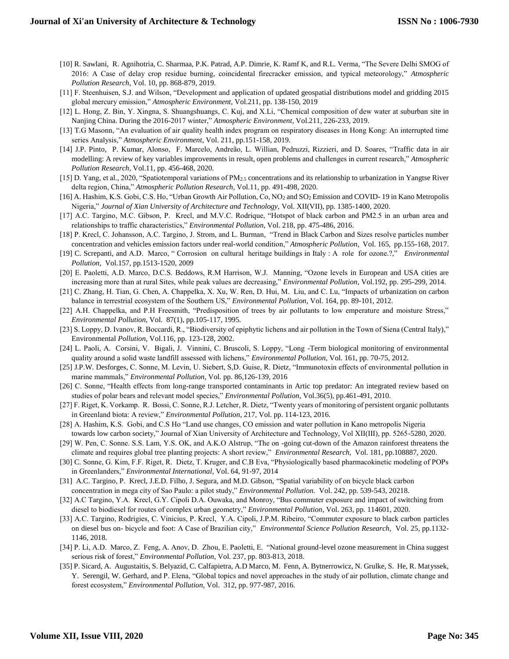- [10] R. Sawlani, R. Agnihotria, C. Sharmaa, P.K. Patrad, A.P. Dimrie, K. Ramf K, and R.L. Verma, "The Severe Delhi SMOG of 2016: A Case of delay crop residue burning, coincidental firecracker emission, and typical meteorology," *Atmospheric Pollution Research*, Vol. 10, pp. 868-879, 2019.
- [11] F. Steenhuisen, S.J. and Wilson, "Development and application of updated geospatial distributions model and gridding 2015 global mercury emission," *Atmospheric Environment,* Vol.211, pp. 138-150, 2019
- [12] L. Hong, Z. Bin, Y. Xingna, S. Shuangshuangs, C. Kuj, and X.Li, "Chemical composition of dew water at suburban site in Nanjing China. During the 2016-2017 winter," *Atmospheric Environment*, Vol.211, 226-233, 2019.
- [13] T.G Masonn, "An evaluation of air quality health index program on respiratory diseases in Hong Kong: An interrupted time series Analysis," *Atmospheric Environment*, Vol. 211, pp.151-158, 2019.
- [14] J.P. Pinto, P. Kumar, Alonso, F. Marcelo, Andreão, L. Willian, Pedruzzi, Rizzieri, and D. Soares, "Traffic data in air modelling: A review of key variables improvements in result, open problems and challenges in current research," *Atmospheric Pollution Research*, Vol.11, pp. 456-468, 2020.
- [15] D. Yang, et al., 2020, "Spatiotemporal variations of PM2.5 concentrations and its relationship to urbanization in Yangtse River delta region, China," *Atmospheric Pollution Research*, Vol.11, pp. 491-498, 2020.
- [16] A. Hashim, K.S. Gobi, C.S. Ho, "Urban Growth Air Pollution, Co, NO<sup>2</sup> and SO<sup>2</sup> Emission and COVID- 19 in Kano Metropolis Nigeria," *Journal of Xian University of Architecture and Technology,* Vol. XII(VII), pp. 1385-1400, 2020.
- [17] A.C. Targino, M.C. Gibson, P. Krecl, and M.V.C. Rodrique, "Hotspot of black carbon and PM2.5 in an urban area and relationships to traffic characteristics," *Environmental Pollution*, Vol. 218, pp. 475-486, 2016.
- [18] P. Krecl, C. Johansson, A.C. Targino, J. Strom, and L. Burman, "Trend in Black Carbon and Sizes resolve particles number concentration and vehicles emission factors under real-world condition," *Atmospheric Pollution*, Vol. 165, pp.155-168, 2017.
- [19] C. Screpanti, and A.D. Marco, " Corrosion on cultural heritage buildings in Italy : A role for ozone.?," *Environmental Pollution,* Vol.157, pp.1513-1520, 2009
- [20] E. Paoletti, A.D. Marco, D.C.S. Beddows, R.M Harrison, W.J. Manning, "Ozone levels in European and USA cities are increasing more than at rural Sites, while peak values are decreasing," *Environmental Pollution*, Vol.192, pp. 295-299, 2014.
- [21] C. Zhang, H. Tian, G. Chen, A. Chappelka, X. Xu, W. Ren, D. Hui, M. Liu, and C. Lu, "Impacts of urbanization on carbon balance in terrestrial ecosystem of the Southern US," *Environmental Pollution,* Vol. 164, pp. 89-101, 2012.
- [22] A.H. Chappelka, and P.H Freesmith, "Predisposition of trees by air pollutants to low emperature and moisture Stress," *Environmental Pollution*, Vol. 87(1), pp.105-117, 1995.
- [23] S. Loppy, D. Ivanov, R. Boccardi, R., "Biodiversity of epiphytic lichens and air pollution in the Town of Siena (Central Italy)," Environmental *Pollution*, Vol.116, pp. 123-128, 2002.
- [24] L. Paoli, A. Corsini, V. Bigali, J. Vinnini, C. Bruscoli, S. Loppy, "Long -Term biological monitoring of environmental quality around a solid waste landfill assessed with lichens," *Environmental Pollution,* Vol. 161, pp. 70-75, 2012.
- [25] J.P.W. Desforges, C. Sonne, M. Levin, U. Siebert, S,D. Guise, R. Dietz, "Immunotoxin effects of environmental pollution in marine mammals," *Environmental Pollution*, Vol. pp. 86,126-139, 2016
- [26] C. Sonne, "Health effects from long-range transported contaminants in Artic top predator: An integrated review based on studies of polar bears and relevant model species," *Environmental Pollution*, Vol.36(5), pp.461-491, 2010.
- [27] F. Riget, K. Vorkamp. R. Bossi, C. Sonne, R.J. Letcher, R. Dietz, "Twenty years of monitoring of persistent organic pollutants in Greenland biota: A review," *Environmental Pollution*, 217, Vol. pp. 114-123, 2016.
- [28] A. Hashim, K.S. Gobi, and C.S Ho "Land use changes, CO emission and water pollution in Kano metropolis Nigeria towards low carbon society," Journal of Xian University of Architecture and Technology, Vol XII(III), pp. 5265-5280, 2020.
- [29] W. Pen, C. Sonne. S.S. Lam, Y.S. OK, and A.K.O Alstrup, "The on -going cut-down of the Amazon rainforest threatens the climate and requires global tree planting projects: A short review," *Environmental Research*, Vol. 181, pp.108887, 2020.
- [30] C. Sonne, G. Kim, F.F. Riget, R. Dietz, T. Kruger, and C.B Eva, "Physiologically based pharmacokinetic modeling of POPs in Greenlanders," *Environmental International*, Vol. 64, 91-97, 2014
- [31] A.C. Targino, P. Krecl, J.E.D. Filho, J. Segura, and M.D. Gibson, "Spatial variability of on bicycle black carbon concentration in mega city of Sao Paulo: a pilot study," *Environmental Pollution*. Vol. 242, pp. 539-543, 20218.
- [32] A.C Targino, Y.A. Krecl, G.Y. Cipoli D.A. Ouwaka, and Monroy, "Bus commuter exposure and impact of switching from diesel to biodiesel for routes of complex urban geometry," *Environmental Pollution*, Vol. 263, pp. 114601, 2020.
- [33] A.C. Targino, Rodrigies, C. Vinicius, P. Krecl, Y.A. Cipoli, J.P.M. Ribeiro, "Commuter exposure to black carbon particles on diesel bus on- bicycle and foot: A Case of Brazilian city," *Environmental Science Pollution Research*, Vol. 25, pp.1132- 1146, 2018.
- [34] P. Li, A.D. Marco, Z. Feng, A. Anov, D. Zhou, E. Paoletti, E. "National ground-level ozone measurement in China suggest serious risk of forest," *Environmental Pollution*, Vol. 237, pp. 803-813, 2018.
- [35] P. Sicard, A. Augustaitis, S. Belyazid, C. Calfapietra, A.D Marco, M. Fenn, A. Bytnerrowicz, N. Grulke, S. He, R. Matyssek, Y. Serengil, W. Gerhard, and P. Elena, "Global topics and novel approaches in the study of air pollution, climate change and forest ecosystem," *Environmental Pollution,* Vol. 312, pp. 977-987, 2016.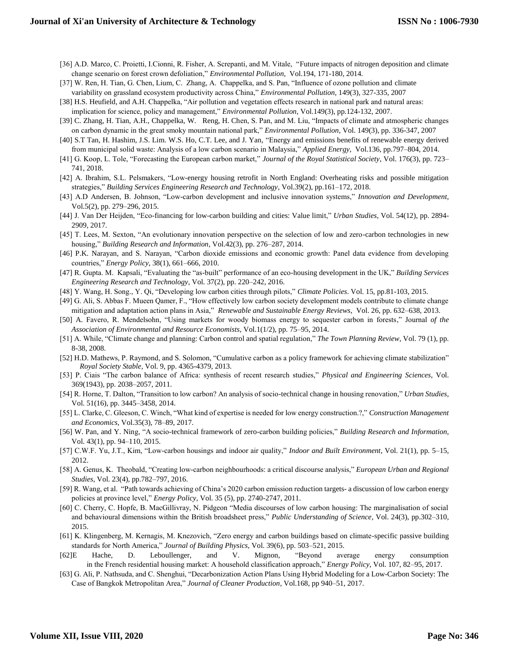- [36] A.D. Marco, C. Proietti, I.Cionni, R. Fisher, A. Screpanti, and M. Vitale, "Future impacts of nitrogen deposition and climate change scenario on forest crown defoliation," *Environmental Pollution,* Vol.194, 171-180, 2014.
- [37] W. Ren, H. Tian, G. Chen, Lium, C. Zhang, A. Chappelka, and S. Pan, "Influence of ozone pollution and climate variability on grassland ecosystem productivity across China," *Environmental Pollution,* 149(3), 327-335, 2007
- [38] H.S. Heufield, and A.H. Chappelka, "Air pollution and vegetation effects research in national park and natural areas: implication for science, policy and management," *Environmental Pollution,* Vol.149(3), pp.124-132, 2007.
- [39] C. Zhang, H. Tian, A.H., Chappelka, W. Reng, H. Chen, S. Pan, and M. Liu, "Impacts of climate and atmospheric changes on carbon dynamic in the great smoky mountain national park," *Environmental Pollution*, Vol. 149(3), pp. 336-347, 2007
- [40] S.T Tan, H. Hashim, J.S. Lim. W.S. Ho, C.T. Lee, and J. Yan, "Energy and emissions benefits of renewable energy derived from municipal solid waste: Analysis of a low carbon scenario in Malaysia," *Applied Energy*, Vol.136, pp.797–804, 2014.
- [41] G. Koop, L. Tole, "Forecasting the European carbon market," *Journal of the Royal Statistical Society*, Vol. 176(3), pp. 723– 741, 2018.
- [42] A. Ibrahim, S.L. Pelsmakers, "Low-energy housing retrofit in North England: Overheating risks and possible mitigation strategies," *Building Services Engineering Research and Technology*, Vol.39(2), pp.161–172, 2018.
- [43] A.D Andersen, B. Johnson, "Low-carbon development and inclusive innovation systems," *Innovation and Development*, Vol.5(2), pp. 279–296, 2015.
- [44] J. Van Der Heijden, "Eco-financing for low-carbon building and cities: Value limit," *Urban Studies*, Vol. 54(12), pp. 2894- 2909, 2017.
- [45] T. Lees, M. Sexton, "An evolutionary innovation perspective on the selection of low and zero-carbon technologies in new housing," *Building Research and Information*, Vol.42(3), pp. 276–287, 2014.
- [46] P.K. Narayan, and S. Narayan, "Carbon dioxide emissions and economic growth: Panel data evidence from developing countries," *Energy Policy,* 38(1), 661–666, 2010.
- [47] R. Gupta. M. Kapsali, "Evaluating the "as-built" performance of an eco-housing development in the UK," *Building Services Engineering Research and Technology*, Vol. 37(2), pp. 220–242, 2016.
- [48] Y. Wang, H. Song., Y. Qi, "Developing low carbon cities through pilots," *Climate Policies*. Vol. 15, pp.81-103, 2015.
- [49] G. Ali, S. Abbas F. Mueen Qamer, F., "How effectively low carbon society development models contribute to climate change mitigation and adaptation action plans in Asia," *Renewable and Sustainable Energy Reviews*, Vol. 26, pp. 632–638, 2013.
- [50] A. Favero, R. Mendelsohn, "Using markets for woody biomass energy to sequester carbon in forests," Journal *of the Association of Environmental and Resource Economists*, Vol.1(1/2), pp. 75–95, 2014.
- [51] A. While, "Climate change and planning: Carbon control and spatial regulation," *The Town Planning Review,* Vol. 79 (1), pp. 8-38, 2008.
- [52] H.D. Mathews, P. Raymond, and S. Solomon, "Cumulative carbon as a policy framework for achieving climate stabilization" *Royal Society Stable,* Vol. 9, pp. 4365-4379, 2013.
- [53] P. Ciais "The carbon balance of Africa: synthesis of recent research studies," *Physical and Engineering Sciences*, Vol. 369(1943), pp. 2038–2057, 2011.
- [54] R. Horne, T. Dalton, "Transition to low carbon? An analysis of socio-technical change in housing renovation," *Urban Studies*, Vol. 51(16), pp. 3445–3458, 2014.
- [55] L. Clarke, C. Gleeson, C. Winch, "What kind of expertise is needed for low energy construction.?," *Construction Management and Economics,* Vol.35(3), 78–89, 2017.
- [56] W. Pan, and Y. Ning, "A socio-technical framework of zero-carbon building policies," *Building Research and Information*, Vol. 43(1), pp. 94–110, 2015.
- [57] C.W.F. Yu, J.T., Kim, "Low-carbon housings and indoor air quality," *Indoor and Built Environment*, Vol. 21(1), pp. 5–15, 2012.
- [58] A. Genus, K. Theobald, "Creating low-carbon neighbourhoods: a critical discourse analysis," *European Urban and Regional Studies*, Vol. 23(4), pp.782–797, 2016.
- [59] R. Wang, et al. "Path towards achieving of China's 2020 carbon emission reduction targets- a discussion of low carbon energy policies at province level," *Energy Policy*, Vol. 35 (5), pp. 2740-2747, 2011.
- [60] C. Cherry, C. Hopfe, B. MacGillivray, N. Pidgeon "Media discourses of low carbon housing: The marginalisation of social and behavioural dimensions within the British broadsheet press," *Public Understanding of Science*, Vol. 24(3), pp.302–310, 2015.
- [61] K. Klingenberg, M. Kernagis, M. Knezovich, "Zero energy and carbon buildings based on climate-specific passive building standards for North America," *Journal of Building Physics*, Vol. 39(6), pp. 503–521, 2015.
- [62]E Hache, D. Leboullenger, and V. Mignon, "Beyond average energy consumption in the French residential housing market: A household classification approach," *Energy Policy*, Vol. 107, 82–95, 2017.
- [63] G. Ali, P. Nathsuda, and C. Shenghui, "Decarbonization Action Plans Using Hybrid Modeling for a Low-Carbon Society: The Case of Bangkok Metropolitan Area," *Journal of Cleaner Production*, Vol.168, pp 940–51, 2017.